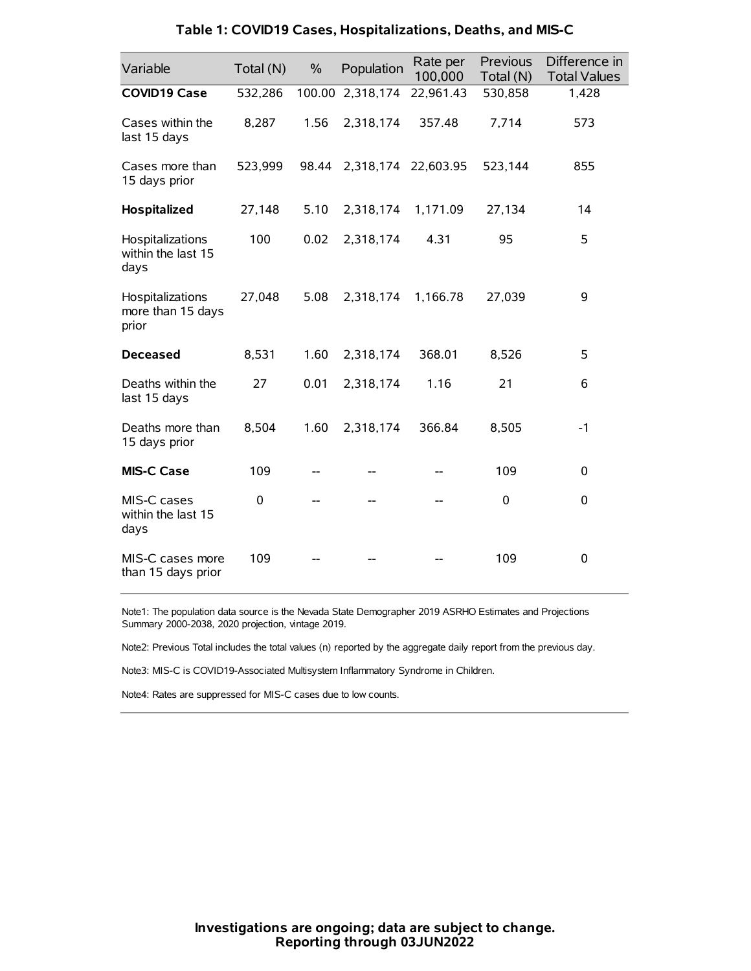| Variable                                       | Total (N) | $\%$   | Population          | Rate per<br>100,000 | Previous<br>Total (N) | Difference in<br><b>Total Values</b> |
|------------------------------------------------|-----------|--------|---------------------|---------------------|-----------------------|--------------------------------------|
| <b>COVID19 Case</b>                            | 532,286   | 100.00 | 2,318,174           | 22,961.43           | 530,858               | 1,428                                |
| Cases within the<br>last 15 days               | 8,287     | 1.56   | 2,318,174           | 357.48              | 7,714                 | 573                                  |
| Cases more than<br>15 days prior               | 523,999   | 98.44  | 2,318,174 22,603.95 |                     | 523,144               | 855                                  |
| Hospitalized                                   | 27,148    | 5.10   | 2,318,174           | 1,171.09            | 27,134                | 14                                   |
| Hospitalizations<br>within the last 15<br>days | 100       | 0.02   | 2,318,174           | 4.31                | 95                    | 5                                    |
| Hospitalizations<br>more than 15 days<br>prior | 27,048    | 5.08   | 2,318,174           | 1,166.78            | 27,039                | 9                                    |
| <b>Deceased</b>                                | 8,531     | 1.60   | 2,318,174           | 368.01              | 8,526                 | 5                                    |
| Deaths within the<br>last 15 days              | 27        | 0.01   | 2,318,174           | 1.16                | 21                    | 6                                    |
| Deaths more than<br>15 days prior              | 8,504     | 1.60   | 2,318,174           | 366.84              | 8,505                 | $-1$                                 |
| <b>MIS-C Case</b>                              | 109       |        |                     |                     | 109                   | 0                                    |
| MIS-C cases<br>within the last 15<br>days      | 0         |        |                     |                     | 0                     | 0                                    |
| MIS-C cases more<br>than 15 days prior         | 109       |        |                     |                     | 109                   | 0                                    |

### **Table 1: COVID19 Cases, Hospitalizations, Deaths, and MIS-C**

Note1: The population data source is the Nevada State Demographer 2019 ASRHO Estimates and Projections Summary 2000-2038, 2020 projection, vintage 2019.

Note2: Previous Total includes the total values (n) reported by the aggregate daily report from the previous day.

Note3: MIS-C is COVID19-Associated Multisystem Inflammatory Syndrome in Children.

Note4: Rates are suppressed for MIS-C cases due to low counts.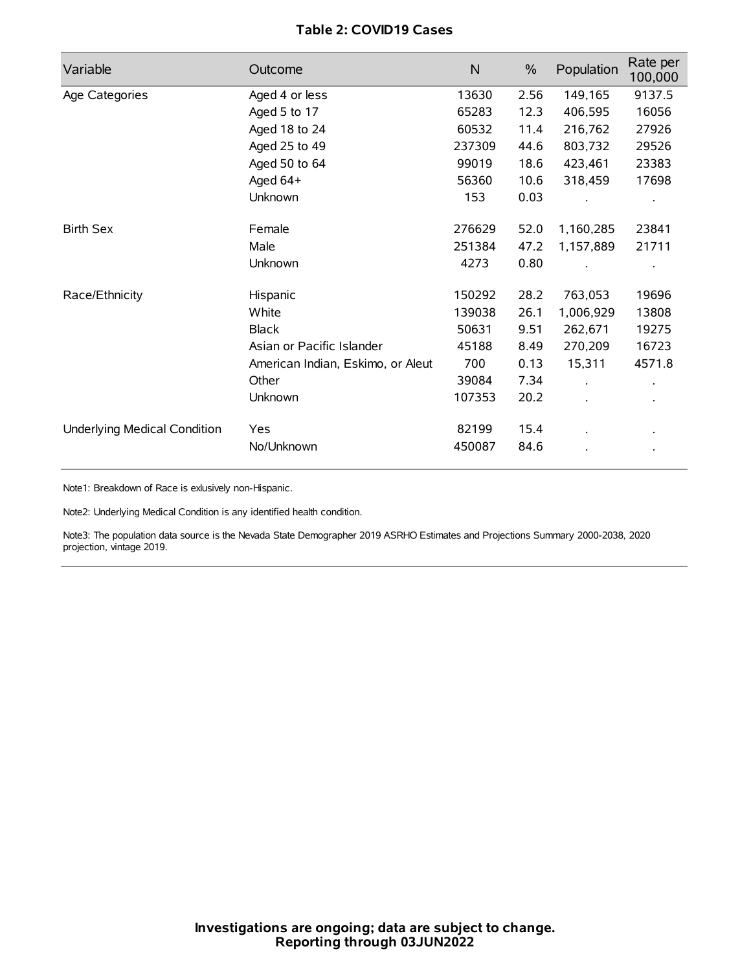# **Table 2: COVID19 Cases**

| Variable                     | Outcome                           | $\mathsf{N}$ | $\%$ | Population | Rate per<br>100,000 |
|------------------------------|-----------------------------------|--------------|------|------------|---------------------|
| Age Categories               | Aged 4 or less                    | 13630        | 2.56 | 149,165    | 9137.5              |
|                              | Aged 5 to 17                      | 65283        | 12.3 | 406,595    | 16056               |
|                              | Aged 18 to 24                     | 60532        | 11.4 | 216,762    | 27926               |
|                              | Aged 25 to 49                     | 237309       | 44.6 | 803,732    | 29526               |
|                              | Aged 50 to 64                     | 99019        | 18.6 | 423,461    | 23383               |
|                              | Aged 64+                          | 56360        | 10.6 | 318,459    | 17698               |
|                              | Unknown                           | 153          | 0.03 |            |                     |
| <b>Birth Sex</b>             | Female                            | 276629       | 52.0 | 1,160,285  | 23841               |
|                              | Male                              | 251384       | 47.2 | 1,157,889  | 21711               |
|                              | Unknown                           | 4273         | 0.80 |            |                     |
| Race/Ethnicity               | Hispanic                          | 150292       | 28.2 | 763,053    | 19696               |
|                              | White                             | 139038       | 26.1 | 1,006,929  | 13808               |
|                              | <b>Black</b>                      | 50631        | 9.51 | 262,671    | 19275               |
|                              | Asian or Pacific Islander         | 45188        | 8.49 | 270,209    | 16723               |
|                              | American Indian, Eskimo, or Aleut | 700          | 0.13 | 15,311     | 4571.8              |
|                              | Other                             | 39084        | 7.34 |            |                     |
|                              | <b>Unknown</b>                    | 107353       | 20.2 |            |                     |
| Underlying Medical Condition | Yes                               | 82199        | 15.4 |            |                     |
|                              | No/Unknown                        | 450087       | 84.6 |            |                     |

Note1: Breakdown of Race is exlusively non-Hispanic.

Note2: Underlying Medical Condition is any identified health condition.

Note3: The population data source is the Nevada State Demographer 2019 ASRHO Estimates and Projections Summary 2000-2038, 2020 projection, vintage 2019.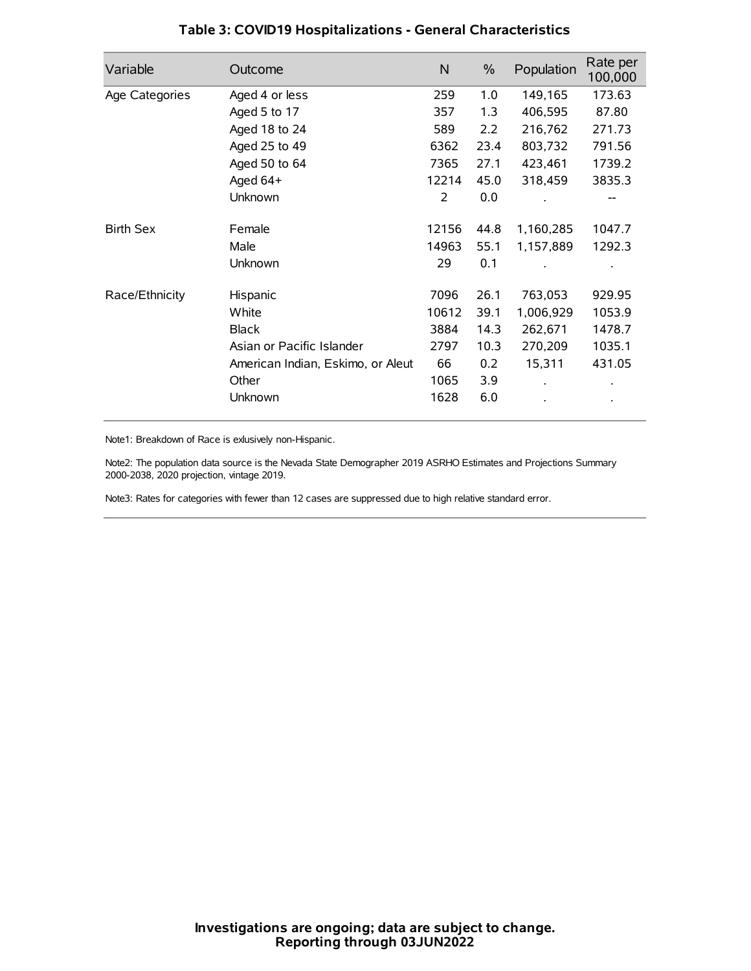| Variable         | Outcome                           | $\mathsf{N}$ | $\%$ | Population | Rate per<br>100,000 |
|------------------|-----------------------------------|--------------|------|------------|---------------------|
| Age Categories   | Aged 4 or less                    | 259          | 1.0  | 149,165    | 173.63              |
|                  | Aged 5 to 17                      | 357          | 1.3  | 406,595    | 87.80               |
|                  | Aged 18 to 24                     | 589          | 2.2  | 216,762    | 271.73              |
|                  | Aged 25 to 49                     | 6362         | 23.4 | 803,732    | 791.56              |
|                  | Aged 50 to 64                     | 7365         | 27.1 | 423,461    | 1739.2              |
|                  | Aged $64+$                        | 12214        | 45.0 | 318,459    | 3835.3              |
|                  | Unknown                           | 2            | 0.0  |            |                     |
| <b>Birth Sex</b> | Female                            | 12156        | 44.8 | 1,160,285  | 1047.7              |
|                  | Male                              | 14963        | 55.1 | 1,157,889  | 1292.3              |
|                  | Unknown                           | 29           | 0.1  |            |                     |
| Race/Ethnicity   | Hispanic                          | 7096         | 26.1 | 763,053    | 929.95              |
|                  | White                             | 10612        | 39.1 | 1,006,929  | 1053.9              |
|                  | <b>Black</b>                      | 3884         | 14.3 | 262,671    | 1478.7              |
|                  | Asian or Pacific Islander         | 2797         | 10.3 | 270,209    | 1035.1              |
|                  | American Indian, Eskimo, or Aleut | 66           | 0.2  | 15,311     | 431.05              |
|                  | Other                             | 1065         | 3.9  |            |                     |
|                  | Unknown                           | 1628         | 6.0  |            |                     |

# **Table 3: COVID19 Hospitalizations - General Characteristics**

Note1: Breakdown of Race is exlusively non-Hispanic.

Note2: The population data source is the Nevada State Demographer 2019 ASRHO Estimates and Projections Summary 2000-2038, 2020 projection, vintage 2019.

Note3: Rates for categories with fewer than 12 cases are suppressed due to high relative standard error.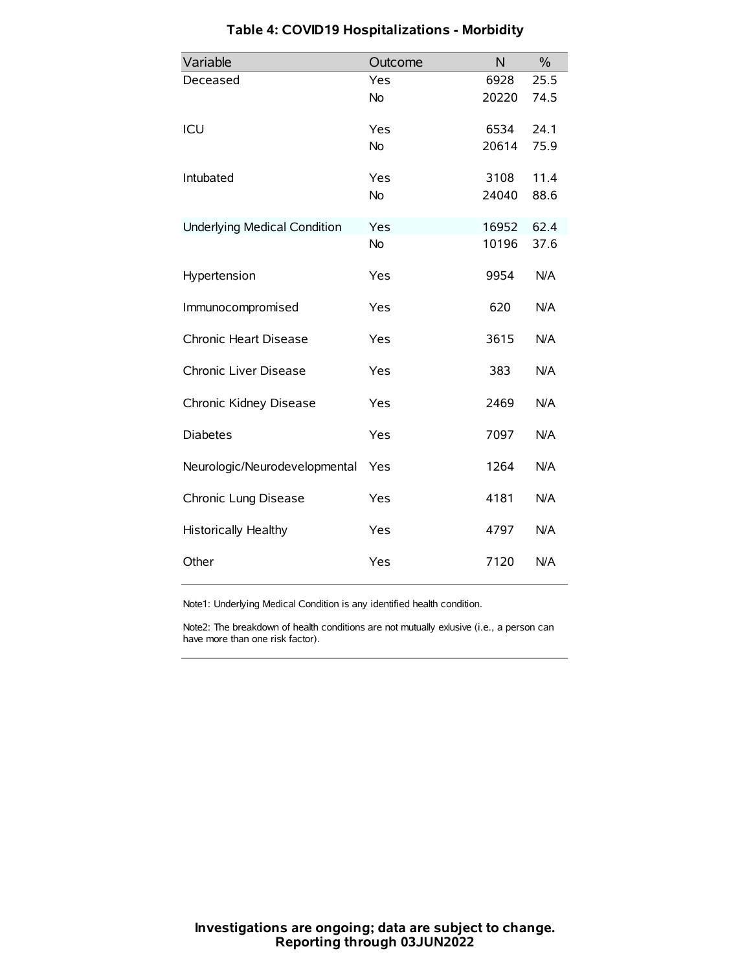| Variable                            | Outcome   | N     | $\frac{0}{0}$ |
|-------------------------------------|-----------|-------|---------------|
| Deceased                            | Yes       | 6928  | 25.5          |
|                                     | No        | 20220 | 74.5          |
| ICU                                 | Yes       | 6534  | 24.1          |
|                                     | <b>No</b> | 20614 | 75.9          |
| Intubated                           | Yes       | 3108  | 11.4          |
|                                     | No        | 24040 | 88.6          |
| <b>Underlying Medical Condition</b> | Yes       | 16952 | 62.4          |
|                                     | <b>No</b> | 10196 | 37.6          |
| Hypertension                        | Yes       | 9954  | N/A           |
| Immunocompromised                   | Yes       | 620   | N/A           |
| Chronic Heart Disease               | Yes       | 3615  | N/A           |
| Chronic Liver Disease               | Yes       | 383   | N/A           |
| Chronic Kidney Disease              | Yes       | 2469  | N/A           |
| <b>Diabetes</b>                     | Yes       | 7097  | N/A           |
| Neurologic/Neurodevelopmental       | Yes       | 1264  | N/A           |
| Chronic Lung Disease                | Yes       | 4181  | N/A           |
| Historically Healthy                | Yes       | 4797  | N/A           |
| Other                               | Yes       | 7120  | N/A           |

# **Table 4: COVID19 Hospitalizations - Morbidity**

Note1: Underlying Medical Condition is any identified health condition.

Note2: The breakdown of health conditions are not mutually exlusive (i.e., a person can have more than one risk factor).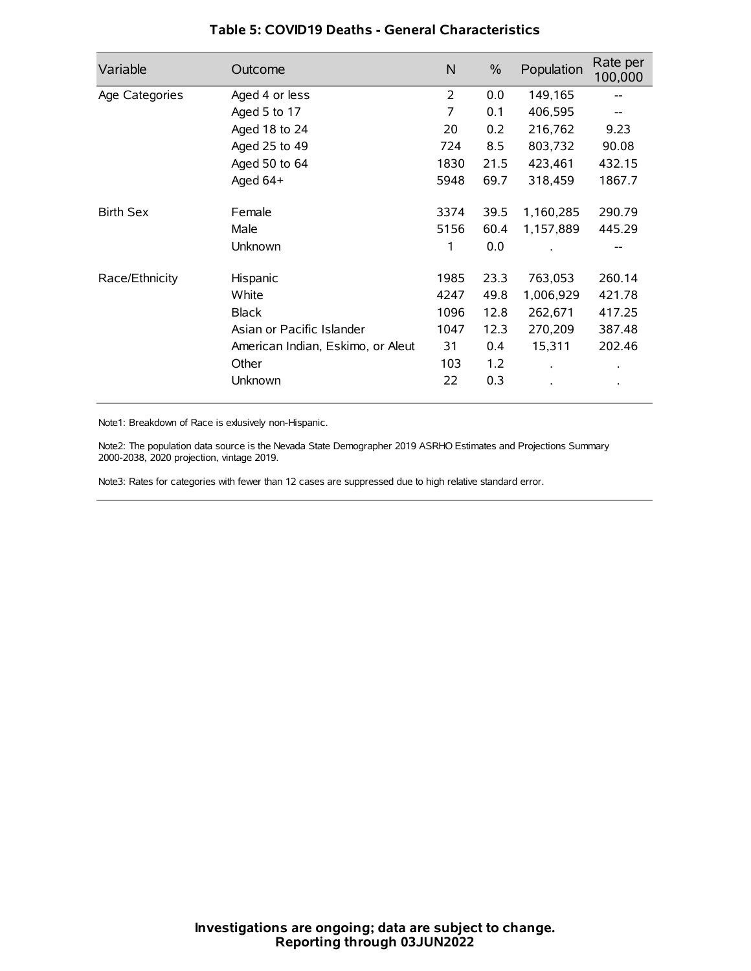| Variable         | Outcome                           | N    | $\frac{0}{0}$ | Population | Rate per<br>100,000 |
|------------------|-----------------------------------|------|---------------|------------|---------------------|
| Age Categories   | Aged 4 or less                    | 2    | 0.0           | 149,165    |                     |
|                  | Aged 5 to 17                      | 7    | 0.1           | 406,595    |                     |
|                  | Aged 18 to 24                     | 20   | 0.2           | 216,762    | 9.23                |
|                  | Aged 25 to 49                     | 724  | 8.5           | 803,732    | 90.08               |
|                  | Aged 50 to 64                     | 1830 | 21.5          | 423,461    | 432.15              |
|                  | Aged $64+$                        | 5948 | 69.7          | 318,459    | 1867.7              |
| <b>Birth Sex</b> | Female                            | 3374 | 39.5          | 1,160,285  | 290.79              |
|                  | Male                              | 5156 | 60.4          | 1,157,889  | 445.29              |
|                  | Unknown                           | 1    | 0.0           |            | --                  |
| Race/Ethnicity   | Hispanic                          | 1985 | 23.3          | 763,053    | 260.14              |
|                  | White                             | 4247 | 49.8          | 1,006,929  | 421.78              |
|                  | <b>Black</b>                      | 1096 | 12.8          | 262,671    | 417.25              |
|                  | Asian or Pacific Islander         | 1047 | 12.3          | 270,209    | 387.48              |
|                  | American Indian, Eskimo, or Aleut | 31   | 0.4           | 15,311     | 202.46              |
|                  | Other                             | 103  | 1.2           |            |                     |
|                  | Unknown                           | 22   | 0.3           |            |                     |

## **Table 5: COVID19 Deaths - General Characteristics**

Note1: Breakdown of Race is exlusively non-Hispanic.

Note2: The population data source is the Nevada State Demographer 2019 ASRHO Estimates and Projections Summary 2000-2038, 2020 projection, vintage 2019.

Note3: Rates for categories with fewer than 12 cases are suppressed due to high relative standard error.